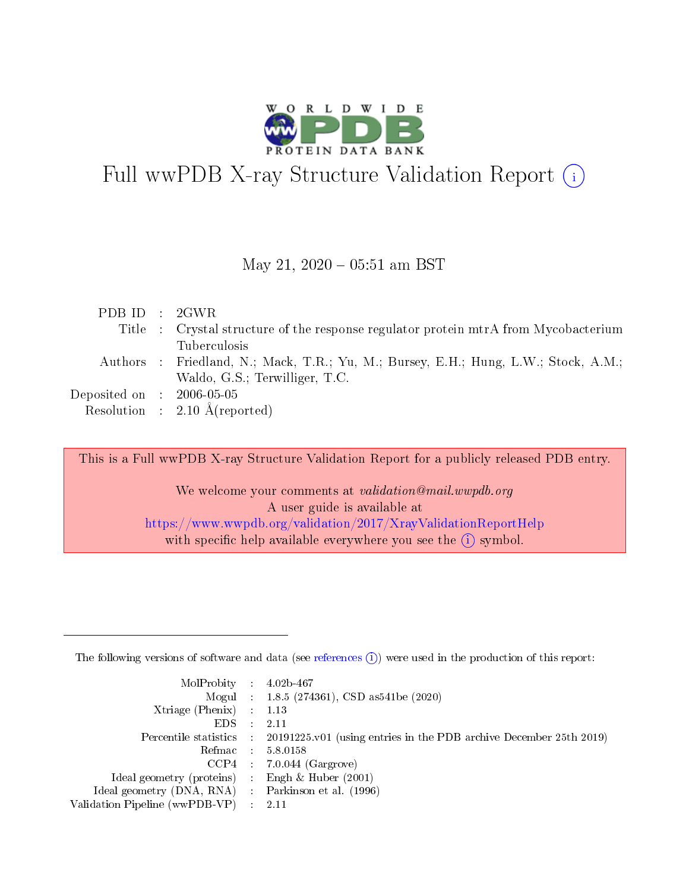

# Full wwPDB X-ray Structure Validation Report (i)

#### May 21,  $2020 - 05:51$  am BST

| PDBID : 2GWR                   |                                                                                     |
|--------------------------------|-------------------------------------------------------------------------------------|
|                                | Title : Crystal structure of the response regulator protein mtrA from Mycobacterium |
|                                | <b>Tuberculosis</b>                                                                 |
|                                | Authors : Friedland, N.; Mack, T.R.; Yu, M.; Bursey, E.H.; Hung, L.W.; Stock, A.M.; |
|                                | Waldo, G.S.; Terwilliger, T.C.                                                      |
| Deposited on $\;$ : 2006-05-05 |                                                                                     |
|                                | Resolution : $2.10 \text{ Å}$ (reported)                                            |

This is a Full wwPDB X-ray Structure Validation Report for a publicly released PDB entry.

We welcome your comments at validation@mail.wwpdb.org A user guide is available at <https://www.wwpdb.org/validation/2017/XrayValidationReportHelp> with specific help available everywhere you see the  $(i)$  symbol.

The following versions of software and data (see [references](https://www.wwpdb.org/validation/2017/XrayValidationReportHelp#references)  $(1)$ ) were used in the production of this report:

| $MolProbability$ : 4.02b-467                        |               |                                                                                            |
|-----------------------------------------------------|---------------|--------------------------------------------------------------------------------------------|
|                                                     |               | Mogul : $1.8.5$ (274361), CSD as 541be (2020)                                              |
| Xtriage (Phenix) $: 1.13$                           |               |                                                                                            |
| EDS.                                                | $\mathcal{L}$ | 2.11                                                                                       |
|                                                     |               | Percentile statistics : 20191225.v01 (using entries in the PDB archive December 25th 2019) |
| Refmac 5.8.0158                                     |               |                                                                                            |
|                                                     |               | $CCP4$ : 7.0.044 (Gargrove)                                                                |
| Ideal geometry (proteins)                           |               | Engh $\&$ Huber (2001)                                                                     |
| Ideal geometry (DNA, RNA) : Parkinson et al. (1996) |               |                                                                                            |
| Validation Pipeline (wwPDB-VP) : 2.11               |               |                                                                                            |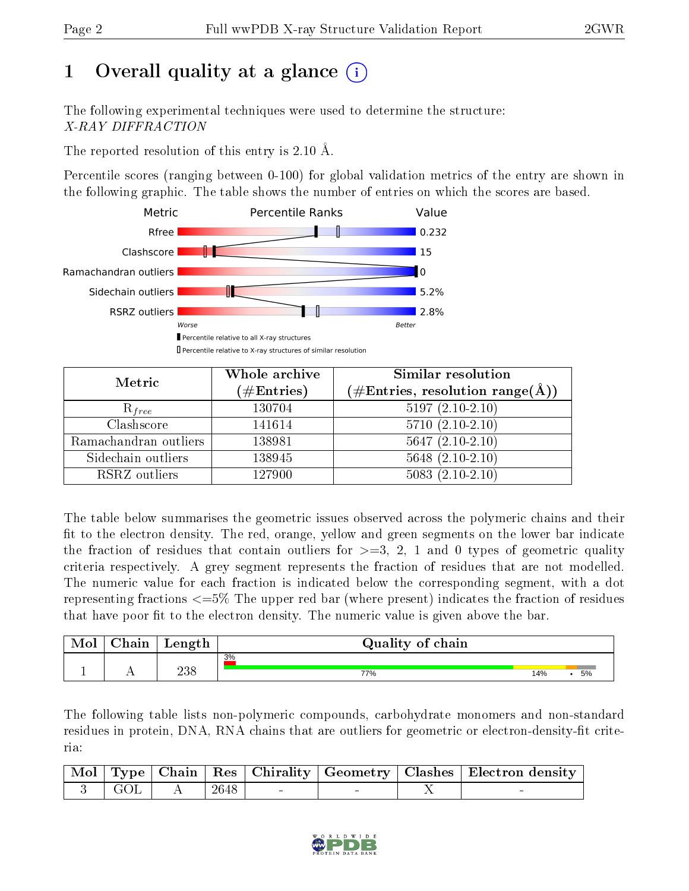## 1 [O](https://www.wwpdb.org/validation/2017/XrayValidationReportHelp#overall_quality)verall quality at a glance  $(i)$

The following experimental techniques were used to determine the structure: X-RAY DIFFRACTION

The reported resolution of this entry is 2.10 Å.

Percentile scores (ranging between 0-100) for global validation metrics of the entry are shown in the following graphic. The table shows the number of entries on which the scores are based.



| Metric                | Whole archive<br>$(\#\text{Entries})$ | Similar resolution<br>$(\#\text{Entries},\, \text{resolution}\; \text{range}(\textup{\AA}))$ |  |  |
|-----------------------|---------------------------------------|----------------------------------------------------------------------------------------------|--|--|
| $R_{free}$            | 130704                                | $5197(2.10-2.10)$                                                                            |  |  |
| Clashscore            | 141614                                | $5710(2.10-2.10)$                                                                            |  |  |
| Ramachandran outliers | 138981                                | $5647(2.10-2.10)$                                                                            |  |  |
| Sidechain outliers    | 138945                                | $5648$ $(2.10-2.10)$                                                                         |  |  |
| RSRZ outliers         | 127900                                | $5083(2.10-2.10)$                                                                            |  |  |

The table below summarises the geometric issues observed across the polymeric chains and their fit to the electron density. The red, orange, yellow and green segments on the lower bar indicate the fraction of residues that contain outliers for  $>=3, 2, 1$  and 0 types of geometric quality criteria respectively. A grey segment represents the fraction of residues that are not modelled. The numeric value for each fraction is indicated below the corresponding segment, with a dot representing fractions <=5% The upper red bar (where present) indicates the fraction of residues that have poor fit to the electron density. The numeric value is given above the bar.

| Mol | ${\bf Chain}$ | Length | Quality of chain |     |    |
|-----|---------------|--------|------------------|-----|----|
|     |               |        | 3%               |     |    |
|     |               | 238    | 77%              | 14% | 5% |

The following table lists non-polymeric compounds, carbohydrate monomers and non-standard residues in protein, DNA, RNA chains that are outliers for geometric or electron-density-fit criteria:

|         |        |  | Mol   Type   Chain   Res   Chirality   Geometry   Clashes   Electron density |
|---------|--------|--|------------------------------------------------------------------------------|
| 3   GOL | $2648$ |  |                                                                              |

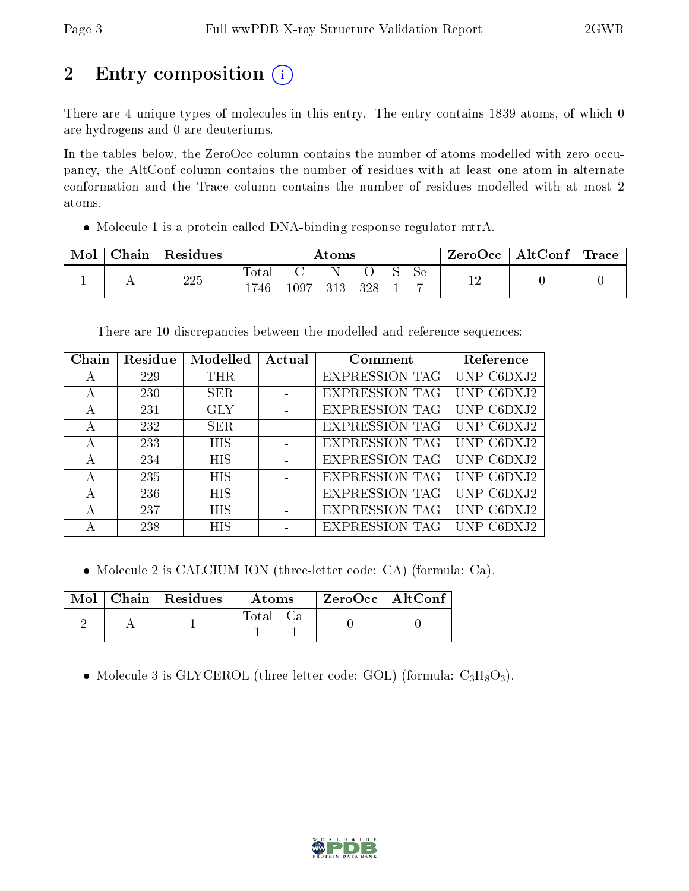# 2 Entry composition (i)

There are 4 unique types of molecules in this entry. The entry contains 1839 atoms, of which 0 are hydrogens and 0 are deuteriums.

In the tables below, the ZeroOcc column contains the number of atoms modelled with zero occupancy, the AltConf column contains the number of residues with at least one atom in alternate conformation and the Trace column contains the number of residues modelled with at most 2 atoms.

Molecule 1 is a protein called DNA-binding response regulator mtrA.

| Mol | Chain | Residues | Atoms               |          |     |     |  | ZeroOcc   AltConf | $\perp$ Trace |  |  |
|-----|-------|----------|---------------------|----------|-----|-----|--|-------------------|---------------|--|--|
|     | . .   | 225      | $\rm Total$<br>1746 | $1097\,$ | 313 | 328 |  | Se                | 1 ຕ<br>- 11   |  |  |

There are 10 discrepancies between the modelled and reference sequences:

| Chain | Residue | Modelled   | Actual | Comment               | Reference  |
|-------|---------|------------|--------|-----------------------|------------|
| А     | 229     | THR        |        | <b>EXPRESSION TAG</b> | UNP C6DXJ2 |
| А     | 230     | <b>SER</b> |        | <b>EXPRESSION TAG</b> | UNP C6DXJ2 |
| А     | 231     | <b>GLY</b> |        | <b>EXPRESSION TAG</b> | UNP C6DXJ2 |
| А     | 232     | <b>SER</b> |        | <b>EXPRESSION TAG</b> | UNP C6DXJ2 |
| А     | 233     | <b>HIS</b> |        | <b>EXPRESSION TAG</b> | UNP C6DXJ2 |
| А     | 234     | <b>HIS</b> |        | <b>EXPRESSION TAG</b> | UNP C6DXJ2 |
| А     | 235     | <b>HIS</b> |        | <b>EXPRESSION TAG</b> | UNP C6DXJ2 |
| А     | 236     | <b>HIS</b> |        | <b>EXPRESSION TAG</b> | UNP C6DXJ2 |
|       | 237     | <b>HIS</b> |        | <b>EXPRESSION TAG</b> | UNP C6DXJ2 |
|       | 238     | <b>HIS</b> |        | <b>EXPRESSION</b>     |            |

Molecule 2 is CALCIUM ION (three-letter code: CA) (formula: Ca).

|  | $\text{Mol}$   Chain   Residues | Atoms. | ZeroOcc   AltConf |
|--|---------------------------------|--------|-------------------|
|  |                                 | Total  |                   |

• Molecule 3 is GLYCEROL (three-letter code: GOL) (formula:  $C_3H_8O_3$ ).

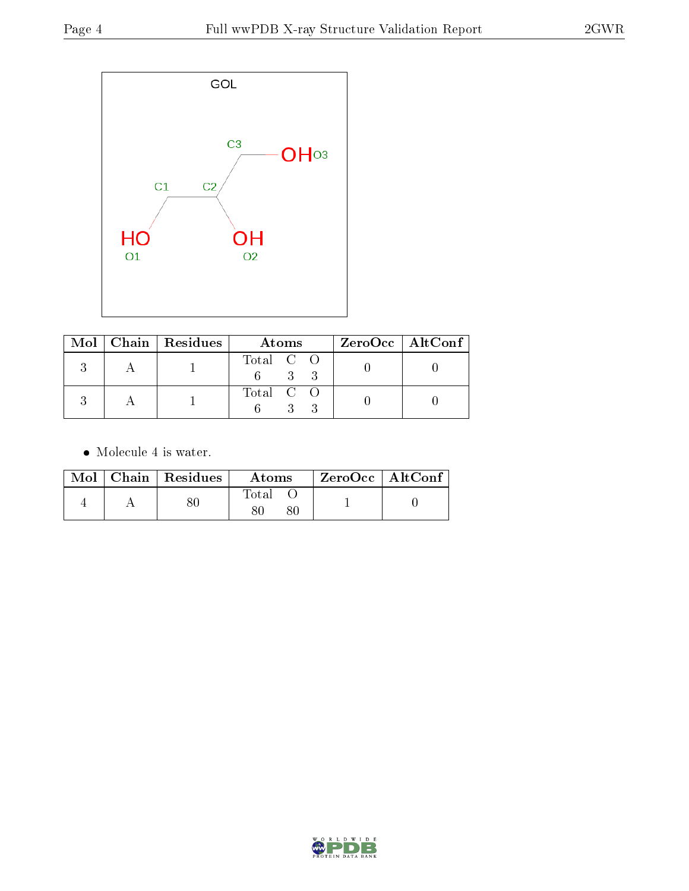

|  | $Mol$   Chain   Residues | Atoms     | ZeroOcc   AltConf |
|--|--------------------------|-----------|-------------------|
|  |                          | Total C O |                   |
|  |                          | Total C O |                   |

 $\bullet\,$  Molecule 4 is water.

|  | Mol   Chain   Residues | Atoms | ZeroOcc   AltConf |  |
|--|------------------------|-------|-------------------|--|
|  |                        | Total |                   |  |

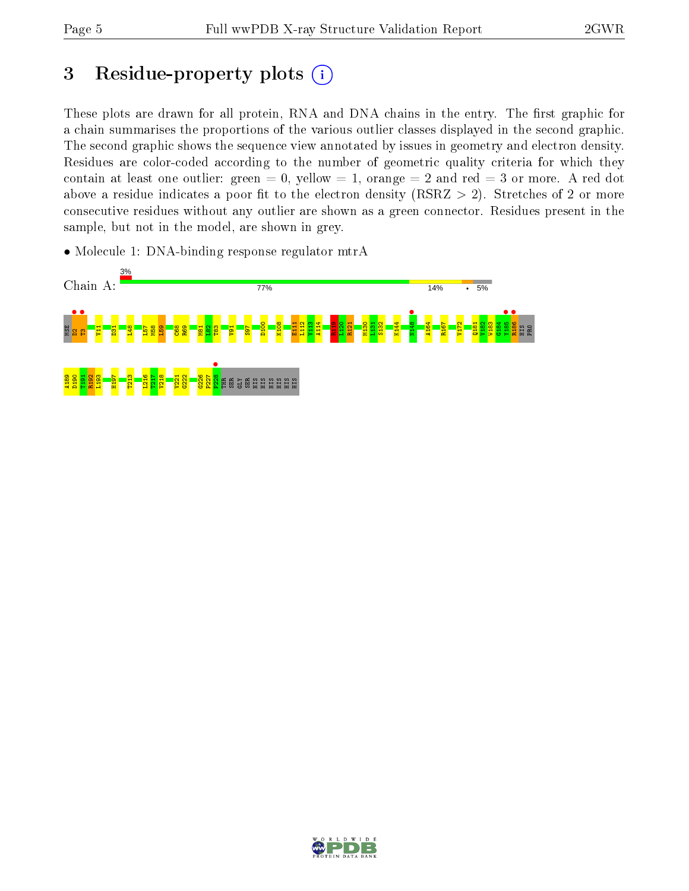**R186** • HIS PRO

## 3 Residue-property plots  $(i)$

These plots are drawn for all protein, RNA and DNA chains in the entry. The first graphic for a chain summarises the proportions of the various outlier classes displayed in the second graphic. The second graphic shows the sequence view annotated by issues in geometry and electron density. Residues are color-coded according to the number of geometric quality criteria for which they contain at least one outlier: green  $= 0$ , yellow  $= 1$ , orange  $= 2$  and red  $= 3$  or more. A red dot above a residue indicates a poor fit to the electron density (RSRZ  $> 2$ ). Stretches of 2 or more consecutive residues without any outlier are shown as a green connector. Residues present in the sample, but not in the model, are shown in grey.



• Molecule 1: DNA-binding response regulator mtrA

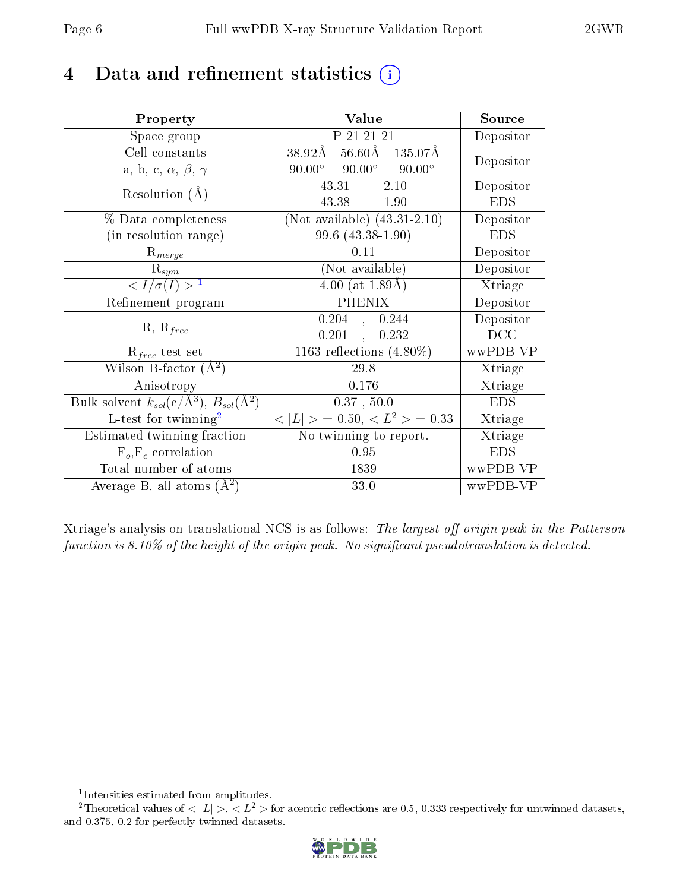## 4 Data and refinement statistics  $(i)$

| Property                                                         | Value                                                             | Source                       |
|------------------------------------------------------------------|-------------------------------------------------------------------|------------------------------|
| Space group                                                      | P 21 21 21                                                        | Depositor                    |
| Cell constants                                                   | $38.92\text{\AA}$ $56.6\overline{0}\text{\AA}$ $135.07\text{\AA}$ | Depositor                    |
| a, b, c, $\alpha$ , $\beta$ , $\gamma$                           | $90.00^{\circ}$ $90.00^{\circ}$<br>$90.00^\circ$                  |                              |
| Resolution $(A)$                                                 | $-2.10$<br>43.31                                                  | Depositor                    |
|                                                                  | 43.38<br>$-1.90$                                                  | <b>EDS</b>                   |
| % Data completeness                                              | (Not available) $\overline{(43.31-2.10)}$                         | Depositor                    |
| (in resolution range)                                            | 99.6 (43.38-1.90)                                                 | <b>EDS</b>                   |
| $R_{merge}$                                                      | 0.11                                                              | Depositor                    |
| $\mathrm{R}_{sym}$                                               | (Not available)                                                   | Depositor                    |
| $\langle I/\sigma(I) \rangle^{-1}$                               | $\overline{4.00}$ (at 1.89Å)                                      | Xtriage                      |
| Refinement program                                               | <b>PHENIX</b>                                                     | Depositor                    |
|                                                                  | $0.204$ , $0.244$                                                 | Depositor                    |
| $R, R_{free}$                                                    | $0.201$ ,<br>0.232                                                | DCC                          |
| $R_{free}$ test set                                              | 1163 reflections $(4.80\%)$                                       | wwPDB-VP                     |
| Wilson B-factor $(A^2)$                                          | 29.8                                                              | Xtriage                      |
| Anisotropy                                                       | 0.176                                                             | Xtriage                      |
| Bulk solvent $k_{sol}(\text{e}/\text{A}^3), B_{sol}(\text{A}^2)$ | 0.37, 50.0                                                        | <b>EDS</b>                   |
| L-test for twinning <sup>2</sup>                                 | $< L >$ = 0.50, $< L2$ > = 0.33                                   | Xtriage                      |
| Estimated twinning fraction                                      | No twinning to report.                                            | $\overline{\text{X}}$ triage |
| $\overline{F_o}, \overline{F_c}$ correlation                     | 0.95                                                              | <b>EDS</b>                   |
| Total number of atoms                                            | 1839                                                              | wwPDB-VP                     |
| Average B, all atoms $(A^2)$                                     | 33.0                                                              | wwPDB-VP                     |

Xtriage's analysis on translational NCS is as follows: The largest off-origin peak in the Patterson function is  $8.10\%$  of the height of the origin peak. No significant pseudotranslation is detected.

<sup>&</sup>lt;sup>2</sup>Theoretical values of  $\langle |L| \rangle$ ,  $\langle L^2 \rangle$  for acentric reflections are 0.5, 0.333 respectively for untwinned datasets, and 0.375, 0.2 for perfectly twinned datasets.



<span id="page-5-1"></span><span id="page-5-0"></span><sup>1</sup> Intensities estimated from amplitudes.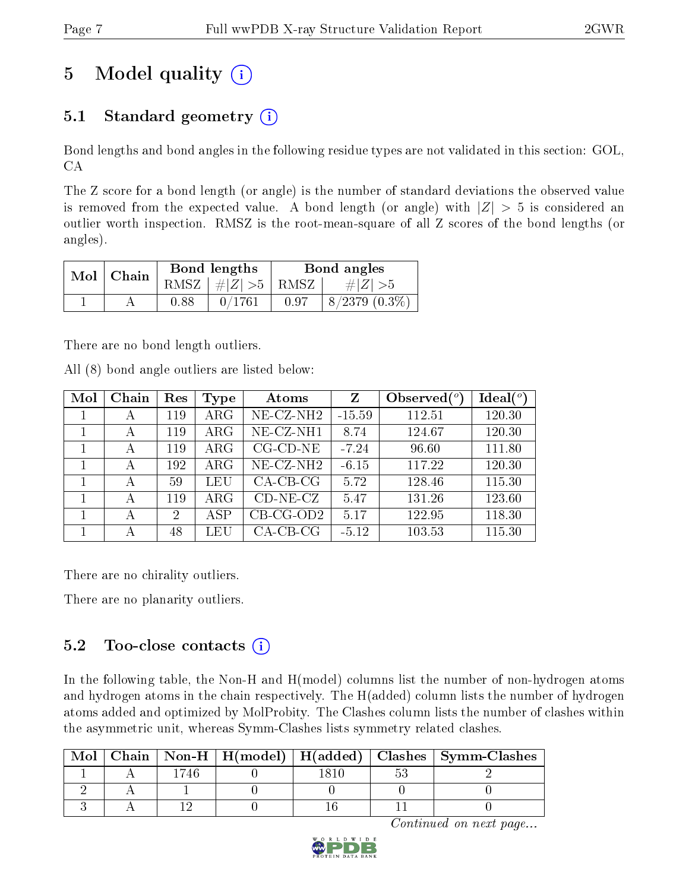## 5 Model quality  $(i)$

### 5.1 Standard geometry  $(i)$

Bond lengths and bond angles in the following residue types are not validated in this section: GOL, CA

The Z score for a bond length (or angle) is the number of standard deviations the observed value is removed from the expected value. A bond length (or angle) with  $|Z| > 5$  is considered an outlier worth inspection. RMSZ is the root-mean-square of all Z scores of the bond lengths (or angles).

| Mol | Chain |      | Bond lengths                            | Bond angles |                    |  |
|-----|-------|------|-----------------------------------------|-------------|--------------------|--|
|     |       |      | RMSZ $\mid \#  Z  > 5 \mid$ RMSZ $\mid$ |             | $\# Z  > 5$        |  |
|     |       | 0.88 | 0/1761                                  | 0.97        | $8/2379$ $(0.3\%)$ |  |

There are no bond length outliers.

All (8) bond angle outliers are listed below:

| Mol | Chain | Res                         | <b>Type</b> | Atoms                         | Z        | Observed $(°)$ | $Ideal(^o)$ |
|-----|-------|-----------------------------|-------------|-------------------------------|----------|----------------|-------------|
|     | А     | 119                         | $\rm{ARG}$  | $\overline{\text{NE-CZ-NH2}}$ | $-15.59$ | 112.51         | 120.30      |
|     | А     | 119                         | $\rm{ARG}$  | NE-CZ-NH1                     | 8.74     | 124.67         | 120.30      |
|     | А     | 119                         | $\rm{ARG}$  | $CG$ - $CD$ - $NE$            | $-7.24$  | 96.60          | 111.80      |
|     | А     | 192                         | $\rm{ARG}$  | $NE$ -CZ-NH <sub>2</sub>      | $-6.15$  | 117.22         | 120.30      |
|     | А     | 59                          | LEU         | $CA$ -CB-CG                   | 5.72     | 128.46         | 115.30      |
|     | А     | 119                         | $\rm{ARG}$  | $CD-NE- CZ$                   | 5.47     | 131.26         | 123.60      |
|     | А     | $\mathcal{D}_{\mathcal{L}}$ | ASP         | $CB-CG-OD2$                   | 5.17     | 122.95         | 118.30      |
|     | А     | 48                          | LEU         | $CA$ -CB-CG                   | $-5.12$  | 103.53         | 115.30      |

There are no chirality outliers.

There are no planarity outliers.

#### $5.2$  Too-close contacts  $(i)$

In the following table, the Non-H and H(model) columns list the number of non-hydrogen atoms and hydrogen atoms in the chain respectively. The H(added) column lists the number of hydrogen atoms added and optimized by MolProbity. The Clashes column lists the number of clashes within the asymmetric unit, whereas Symm-Clashes lists symmetry related clashes.

|  |  |  | Chain   Non-H   H(model)   H(added)   Clashes   Symm-Clashes |
|--|--|--|--------------------------------------------------------------|
|  |  |  |                                                              |
|  |  |  |                                                              |
|  |  |  |                                                              |

Continued on next page...

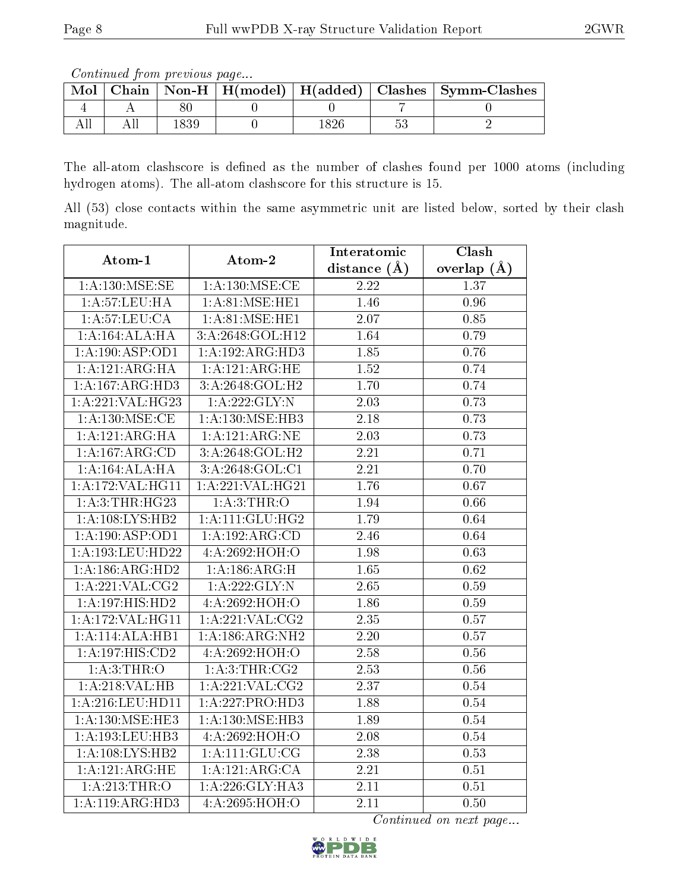Continued from previous page...

| Mol |  |  | Chain   Non-H   H(model)   H(added)   Clashes   Symm-Clashes |
|-----|--|--|--------------------------------------------------------------|
|     |  |  |                                                              |
|     |  |  |                                                              |

The all-atom clashscore is defined as the number of clashes found per 1000 atoms (including hydrogen atoms). The all-atom clashscore for this structure is 15.

All (53) close contacts within the same asymmetric unit are listed below, sorted by their clash magnitude.

| Atom-1             | Atom-2                      | Interatomic       | Clash           |  |
|--------------------|-----------------------------|-------------------|-----------------|--|
|                    |                             | distance $(A)$    | overlap $(\AA)$ |  |
| 1: A: 130: MSE: SE | 1: A: 130: MSE: CE          | 2.22              | 1.37            |  |
| 1:A:57:LEU:HA      | 1: A:81: MSE: HE1           | 1.46              | 0.96            |  |
| 1: A:57:LEU:CA     | 1: A:81: MSE: HE1           | 2.07              | 0.85            |  |
| 1:A:164:ALA:HA     | 3:A:2648:GOL:H12            | 1.64              | 0.79            |  |
| 1:A:190:ASP:OD1    | 1:A:192:ARG:HD3             | 1.85              | 0.76            |  |
| 1:A:121:ARG:HA     | 1: A: 121: ARG: HE          | 1.52              | 0.74            |  |
| 1:A:167:ARG:HD3    | 3:A:2648:GOL:H2             | 1.70              | 0.74            |  |
| 1:A:221:VAL:HG23   | $1:$ A:222:GLY:N            | $\overline{2.03}$ | 0.73            |  |
| 1: A: 130: MSE: CE | 1: A:130:MSE:HB3            | 2.18              | 0.73            |  |
| 1:A:121:ARG:HA     | 1:A:121:ARG:NE              | 2.03              | 0.73            |  |
| 1:A:167:ARG:CD     | 3:A:2648:GOL:H2             | 2.21              | 0.71            |  |
| 1:A:164:ALA:HA     | 3:A:2648:GOL:C1             | 2.21              | 0.70            |  |
| 1:A:172:VAL:HG11   | 1: A:221: VAL:HG21          | 1.76              | 0.67            |  |
| 1: A:3:THR:HG23    | 1: A:3:THR:O                | 1.94              | 0.66            |  |
| 1: A:108: LYS: HB2 | 1: A: 111: GLU: HG2         | 1.79              | 0.64            |  |
| 1:A:190:ASP:OD1    | 1:A:192:ARG:CD              | 2.46              | 0.64            |  |
| 1:A:193:LEU:HD22   | 4:A:2692:HOH:O              | 1.98              | 0.63            |  |
| 1:A:186:ARG:HD2    | 1:A:186:ARG:H               | $\overline{1.65}$ | 0.62            |  |
| 1:A:221:VAL:CG2    | 1:A:222:GLY:N               | 2.65              | 0.59            |  |
| 1:A:197:HIS:HD2    | 4:A:2692:HOH:O              | 1.86              | 0.59            |  |
| 1:A:172:VAL:HG11   | 1: A:221:VAL:CG2            | 2.35              | 0.57            |  |
| 1:A:114:ALA:HBI    | 1:A:186:ARG:NH2             | 2.20              | 0.57            |  |
| 1:A:197:HIS:CD2    | 4:A:2692:HOH:O              | 2.58              | 0.56            |  |
| 1: A:3:THR:O       | $1:A:3:THR: \overline{CG2}$ | 2.53              | 0.56            |  |
| 1: A:218: VAL:HB   | $1:$ A:221:VAL:CG2          | 2.37              | 0.54            |  |
| 1:A:216:LEU:HD11   | 1:A:227:PRO:HD3             | 1.88              | 0.54            |  |
| 1:A:130:MSE:HE3    | 1:A:130:MSE:HB3             | 1.89              | 0.54            |  |
| 1:A:193:LEU:HB3    | 4:A:2692:HOH:O              | 2.08              | 0.54            |  |
| 1: A:108: LYS: HB2 | 1: A:111: GLU:CG            | 2.38              | 0.53            |  |
| 1:A:121:ARG:HE     | 1:A:121:ARG:CA              | 2.21              | 0.51            |  |
| 1: A:213:THR:O     | 1:A:226:GLY:HA3             | 2.11              | $0.51\,$        |  |
| 1:A:119:ARG:HD3    | 4:A:2695:HOH:O              | 2.11              | 0.50            |  |

Continued on next page...

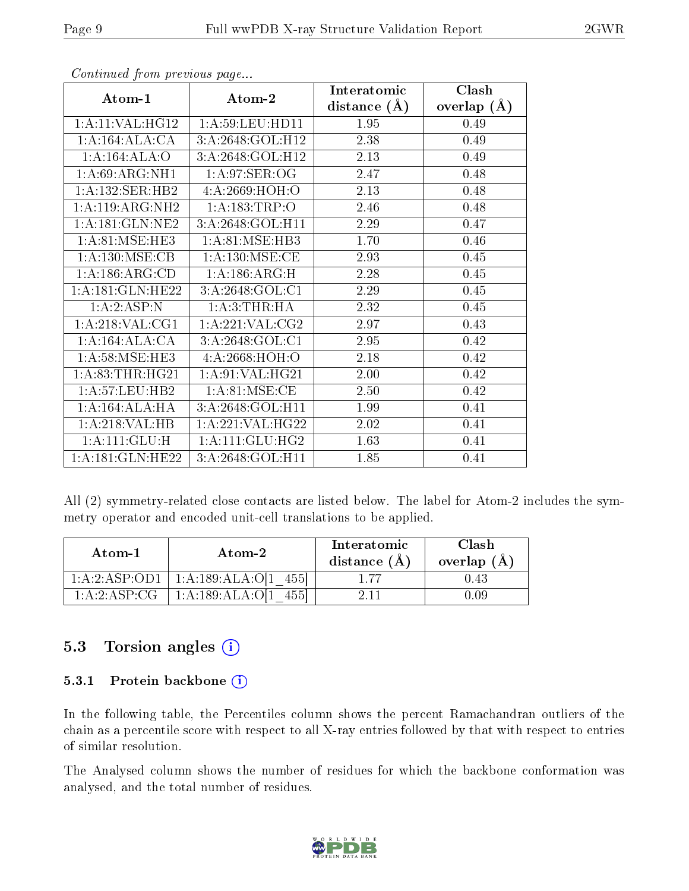|                     |                               | Interatomic    | Clash         |
|---------------------|-------------------------------|----------------|---------------|
| Atom-1              | Atom-2                        | distance $(A)$ | overlap $(A)$ |
| 1:A:11:VAL:HG12     | 1: A:59:LEU:HD11              | 1.95           | 0.49          |
| 1:A:164:ALA:CA      | 3:A:2648:GOL:H12              | 2.38           | 0.49          |
| 1:A:164:ALA:O       | 3:A:2648:GOL:H12              | 2.13           | 0.49          |
| 1:A:69:ARG:NH1      | 1: A:97: SER:OG               | 2.47           | 0.48          |
| 1:A:132:SER:HB2     | 4: A:2669:HOH:O               | 2.13           | 0.48          |
| 1:A:119:ARG:NH2     | 1:A:183:TRP:O                 | 2.46           | 0.48          |
| 1:A:181:GLN:NE2     | 3:A:2648:GOL:H11              | 2.29           | 0.47          |
| 1: A:81: MSE:HE3    | 1: A:81: MSE:HB3              | 1.70           | 0.46          |
| 1: A:130: MSE: CB   | 1: A: 130: MSE: CE            | 2.93           | 0.45          |
| 1: A: 186: ARG: CD  | 1: A: 186: ARG: H             | 2.28           | 0.45          |
| 1: A:181: GLN: HE22 | 3:A:2648:GOL:Cl               | 2.29           | 0.45          |
| 1:A:2:ASP:N         | 1: A:3:THR:HA                 | 2.32           | 0.45          |
| 1: A:218: VAL:CG1   | 1:A:221:VAL:CG2               | 2.97           | 0.43          |
| 1:A:164:ALA:CA      | 3:A:2648:GOL:C1               | 2.95           | 0.42          |
| 1: A:58: MSE:HE3    | 4: A:2668:HOH:O               | 2.18           | 0.42          |
| 1: A:83:THR:HG21    | 1:A:91:VAL:HG21               | 2.00           | 0.42          |
| 1:A:57:LEU:HB2      | $1: A:81: MSE: \overline{CE}$ | 2.50           | 0.42          |
| 1:A:164:ALA:HA      | 3:A:2648:GOL:H11              | 1.99           | 0.41          |
| 1: A:218: VAL:HB    | 1:A:221:VAL:HG22              | 2.02           | 0.41          |
| 1:A:111:GLU:H       | 1: A: 111: GLU: HG2           | 1.63           | 0.41          |
| 1:A:181:GLN:HE22    | 3:A:2648:GOL:H11              | 1.85           | 0.41          |

Continued from previous page...

All (2) symmetry-related close contacts are listed below. The label for Atom-2 includes the symmetry operator and encoded unit-cell translations to be applied.

| Atom-1         | Atom-2               | Interatomic<br>distance $(A)$ | Clash<br>overlap $(A)$ |
|----------------|----------------------|-------------------------------|------------------------|
| 1:A:2:ASP:OD1  | 1:A:189:ALA:O[1 455] | 177                           | 1.43                   |
| 1: A:2: ASP:CG | 1:A:189:ALA:O[1      |                               |                        |

#### 5.3 Torsion angles (i)

#### 5.3.1 Protein backbone  $(i)$

In the following table, the Percentiles column shows the percent Ramachandran outliers of the chain as a percentile score with respect to all X-ray entries followed by that with respect to entries of similar resolution.

The Analysed column shows the number of residues for which the backbone conformation was analysed, and the total number of residues.

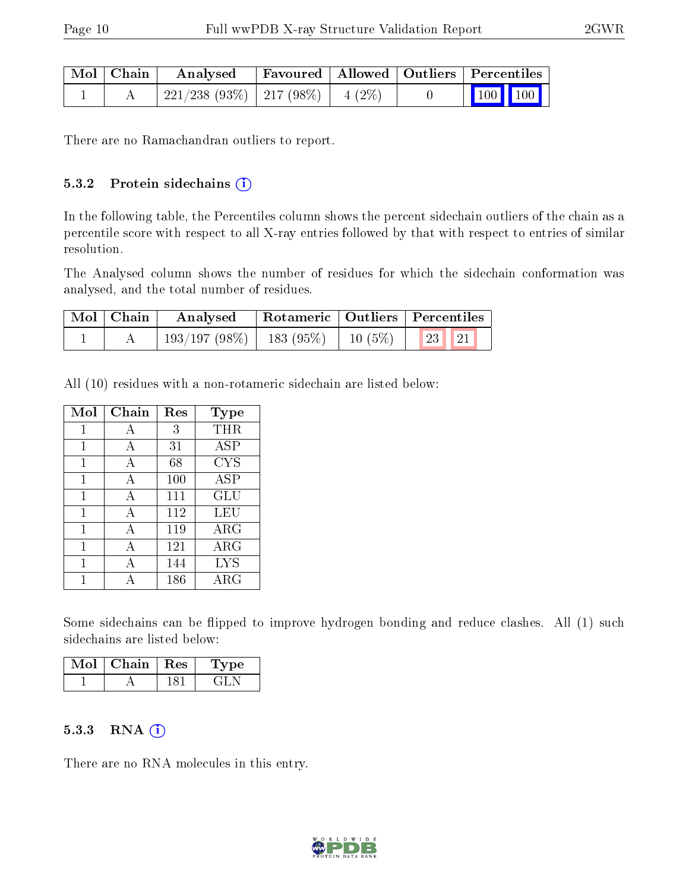| Mol   Chain | Analysed                                |  | Favoured   Allowed   Outliers   Percentiles                                                         |
|-------------|-----------------------------------------|--|-----------------------------------------------------------------------------------------------------|
|             | $221/238$ (93\%)   217 (98\%)   4 (2\%) |  | $\begin{array}{ c c c c c }\n\hline\n\end{array}$ 100 $\begin{array}{ c c c }\n\hline\n\end{array}$ |

There are no Ramachandran outliers to report.

#### 5.3.2 Protein sidechains (i)

In the following table, the Percentiles column shows the percent sidechain outliers of the chain as a percentile score with respect to all X-ray entries followed by that with respect to entries of similar resolution.

The Analysed column shows the number of residues for which the sidechain conformation was analysed, and the total number of residues.

| Mol   Chain | Analysed   Rotameric   Outliers   Percentiles        |  |  |  |
|-------------|------------------------------------------------------|--|--|--|
|             | $\mid$ 193/197 (98%)   183 (95%)   10 (5%)   23   21 |  |  |  |

All (10) residues with a non-rotameric sidechain are listed below:

| Mol | $Chain$ | Res | Type        |
|-----|---------|-----|-------------|
| 1   | А       | 3   | THR         |
| 1   | A       | 31  | ASP         |
| 1   | A       | 68  | <b>CYS</b>  |
| 1   | А       | 100 | ASP         |
| 1   | A       | 111 | GLU         |
| 1   | А       | 112 | LEU         |
| 1   | А       | 119 | $\rm{ARG}$  |
| 1   | А       | 121 | ARG         |
|     | А       | 144 | <b>LYS</b>  |
|     |         | 186 | ${\rm ARG}$ |

Some sidechains can be flipped to improve hydrogen bonding and reduce clashes. All (1) such sidechains are listed below:

| Mol | Chain   Res | vpe |  |
|-----|-------------|-----|--|
|     |             |     |  |

#### 5.3.3 RNA [O](https://www.wwpdb.org/validation/2017/XrayValidationReportHelp#rna)i

There are no RNA molecules in this entry.

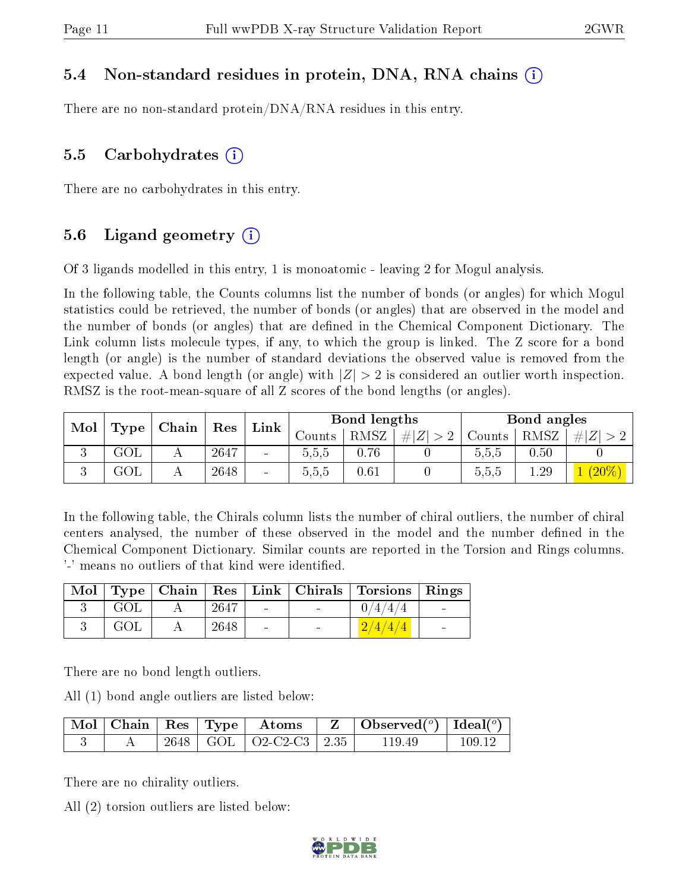#### 5.4 Non-standard residues in protein, DNA, RNA chains (i)

There are no non-standard protein/DNA/RNA residues in this entry.

#### 5.5 Carbohydrates  $(i)$

There are no carbohydrates in this entry.

#### 5.6 Ligand geometry  $(i)$

Of 3 ligands modelled in this entry, 1 is monoatomic - leaving 2 for Mogul analysis.

In the following table, the Counts columns list the number of bonds (or angles) for which Mogul statistics could be retrieved, the number of bonds (or angles) that are observed in the model and the number of bonds (or angles) that are dened in the Chemical Component Dictionary. The Link column lists molecule types, if any, to which the group is linked. The Z score for a bond length (or angle) is the number of standard deviations the observed value is removed from the expected value. A bond length (or angle) with  $|Z| > 2$  is considered an outlier worth inspection. RMSZ is the root-mean-square of all Z scores of the bond lengths (or angles).

| Mol           |      | Chain    |      |                          |        | Bond lengths |                     |        | Bond angles |       |
|---------------|------|----------|------|--------------------------|--------|--------------|---------------------|--------|-------------|-------|
|               | Type |          | Res  | Link                     | Counts | <b>RMSZ</b>  | $\# Z $<br>$\Omega$ | Counts | RMSZ        | $#^+$ |
| $\Omega$<br>v | GOL  |          | 2647 | $\overline{\phantom{0}}$ | 5.5.5  | 0.76         |                     | 5,5,5  | 0.50        |       |
|               | GOL  | $\Delta$ | 2648 | $\overline{\phantom{a}}$ | 0.5.5  | 0.61         |                     | 5,5,5  | 1.29        |       |

In the following table, the Chirals column lists the number of chiral outliers, the number of chiral centers analysed, the number of these observed in the model and the number defined in the Chemical Component Dictionary. Similar counts are reported in the Torsion and Rings columns. '-' means no outliers of that kind were identified.

|     |      |                | Mol   Type   Chain   Res   Link   Chirals   Torsions   Rings |        |
|-----|------|----------------|--------------------------------------------------------------|--------|
| GOL | 2647 | $\blacksquare$ |                                                              | $\sim$ |
| GOL | 2648 | $\equiv$       |                                                              | $\sim$ |

There are no bond length outliers.

All (1) bond angle outliers are listed below:

|  |  |                              | $\mid$ Mol $\mid$ Chain $\mid$ Res $\mid$ Type $\mid$ Atoms $\mid$ Z $\mid$ Observed( $\mid$ ) $\mid$ Ideal( $\mid$ ) $\mid$ |        |
|--|--|------------------------------|------------------------------------------------------------------------------------------------------------------------------|--------|
|  |  | 2648   GOL   O2-C2-C3   2.35 | - 119.49                                                                                                                     | 109 12 |

There are no chirality outliers.

All (2) torsion outliers are listed below:

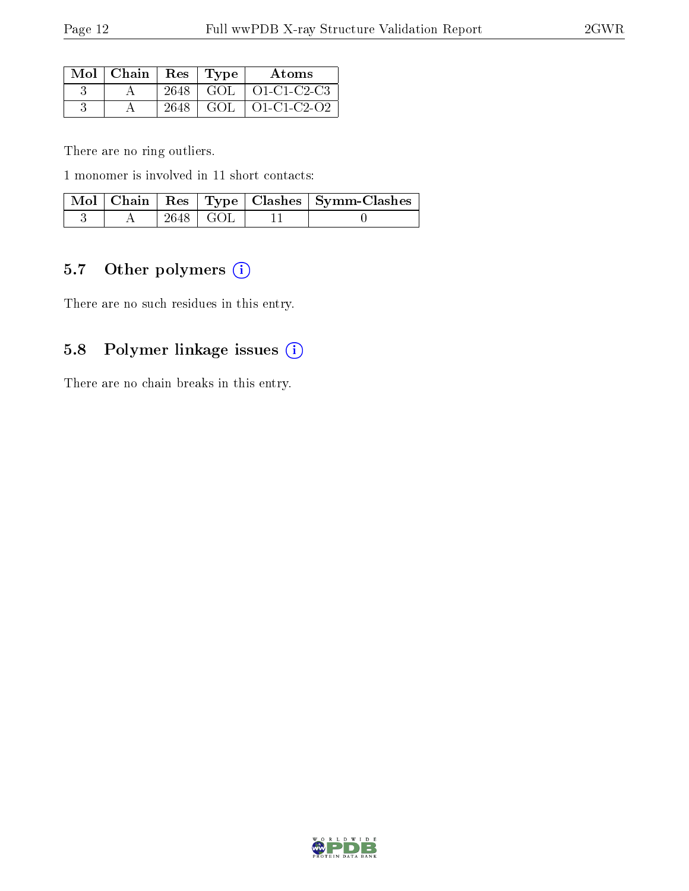| $\text{Mol}$   Chain   Res   Type |      | Atoms                      |
|-----------------------------------|------|----------------------------|
|                                   |      | $2648$   GOL   O1-C1-C2-C3 |
|                                   | 2648 | $GOL$   $O1$ -C1-C2-O2     |

There are no ring outliers.

1 monomer is involved in 11 short contacts:

|  |                        | Mol   Chain   Res   Type   Clashes   Symm-Clashes |
|--|------------------------|---------------------------------------------------|
|  | $2648 \mid \text{GOL}$ |                                                   |

### 5.7 [O](https://www.wwpdb.org/validation/2017/XrayValidationReportHelp#nonstandard_residues_and_ligands)ther polymers (i)

There are no such residues in this entry.

### 5.8 Polymer linkage issues (i)

There are no chain breaks in this entry.

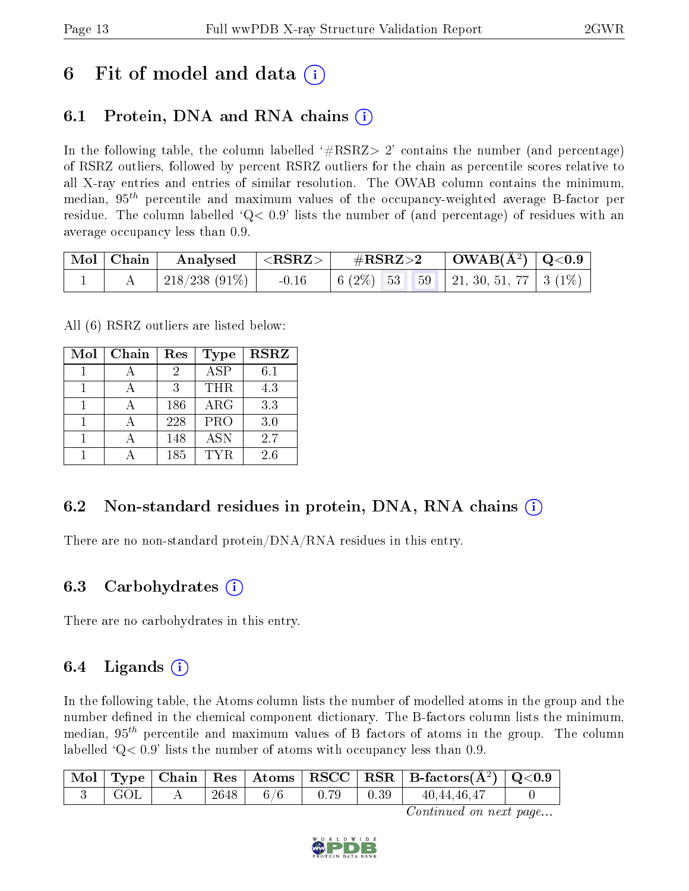## 6 Fit of model and data  $\left( \cdot \right)$

### 6.1 Protein, DNA and RNA chains (i)

In the following table, the column labelled  $#RSRZ>2'$  contains the number (and percentage) of RSRZ outliers, followed by percent RSRZ outliers for the chain as percentile scores relative to all X-ray entries and entries of similar resolution. The OWAB column contains the minimum, median,  $95<sup>th</sup>$  percentile and maximum values of the occupancy-weighted average B-factor per residue. The column labelled  $Q < 0.9$  lists the number of (and percentage) of residues with an average occupancy less than 0.9.

|  | $\begin{array}{ c c c c }\hline \text{Mol} & \text{Chain} & \text{Analysed} & <\text{RSRZ}> \hline \end{array}$ |  |  |
|--|-----------------------------------------------------------------------------------------------------------------|--|--|
|  | 218/238 (91%)   -0.16   6 (2%)   53   59   21, 30, 51, 77   3 (1%)                                              |  |  |

All (6) RSRZ outliers are listed below:

| Mol | Chain | Res | Type       | <b>RSRZ</b> |
|-----|-------|-----|------------|-------------|
|     |       | 2   | <b>ASP</b> | 6.1         |
|     |       | 3   | <b>THR</b> | 4.3         |
|     |       | 186 | ARG        | 3.3         |
|     |       | 228 | PRO        | 3.0         |
|     |       | 148 | <b>ASN</b> | 2.7         |
|     |       | 185 | TYR        | 2.6         |

#### 6.2 Non-standard residues in protein, DNA, RNA chains (i)

There are no non-standard protein/DNA/RNA residues in this entry.

#### 6.3 Carbohydrates (i)

There are no carbohydrates in this entry.

#### 6.4 Ligands  $(i)$

In the following table, the Atoms column lists the number of modelled atoms in the group and the number defined in the chemical component dictionary. The B-factors column lists the minimum, median,  $95<sup>th</sup>$  percentile and maximum values of B factors of atoms in the group. The column labelled  $Q< 0.9$  lists the number of atoms with occupancy less than 0.9.

|  |      |     |      | $\perp$ Mol $\mid$ Type $\mid$ Chain $\mid$ Res $\mid$ Atoms $\mid$ RSCC $\mid$ RSR $\mid$ B-factors(Å <sup>2</sup> ) $\mid$ Q<0.9 |  |
|--|------|-----|------|------------------------------------------------------------------------------------------------------------------------------------|--|
|  | 2648 | 6/6 | 0.39 | 40.44.46.47                                                                                                                        |  |

Continued on next page...